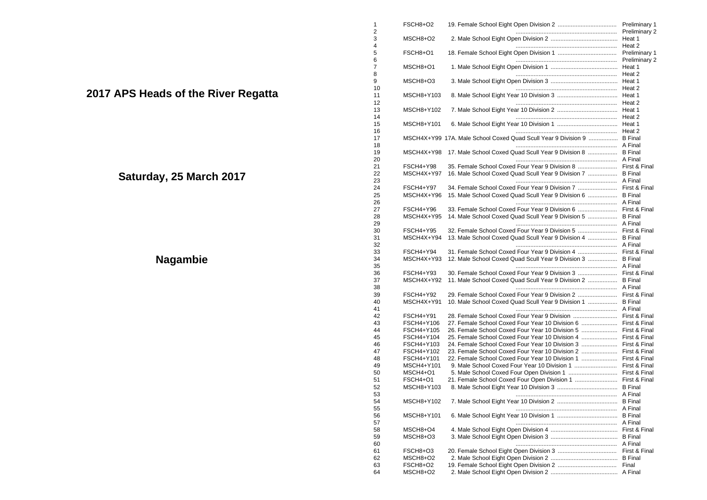| 1              | FSCH8+O2                 |                                                                         | Preliminary 1                         |
|----------------|--------------------------|-------------------------------------------------------------------------|---------------------------------------|
| 2<br>3<br>4    | MSCH8+O2                 |                                                                         | <b>Preliminary 2</b>                  |
| 5<br>6         | FSCH8+O1                 |                                                                         | <b>Preliminary 1</b><br>Preliminary 2 |
| 7<br>8         | MSCH8+O1                 |                                                                         | Heat 1                                |
| 9              | MSCH8+O3                 |                                                                         | Heat 2                                |
| 10<br>11<br>12 | MSCH8+Y103               |                                                                         |                                       |
| 13<br>14       | MSCH8+Y102               |                                                                         |                                       |
| 15<br>16       | MSCH8+Y101               |                                                                         |                                       |
| 17             |                          | MSCH4X+Y99 17A. Male School Coxed Quad Scull Year 9 Division 9  B Final |                                       |
| 18<br>19<br>20 | MSCH4X+Y98               | 17. Male School Coxed Quad Scull Year 9 Division 8  B Final             |                                       |
| 21             | FSCH4+Y98                | 35. Female School Coxed Four Year 9 Division 8  First & Final           |                                       |
| 22             | MSCH4X+Y97               | 16. Male School Coxed Quad Scull Year 9 Division 7  B Final             |                                       |
| 23<br>24       | FSCH4+Y97                |                                                                         |                                       |
| 25             | MSCH4X+Y96               | 15. Male School Coxed Quad Scull Year 9 Division 6  B Final             |                                       |
| 26             |                          |                                                                         |                                       |
| 27             | FSCH4+Y96                | 33. Female School Coxed Four Year 9 Division 6  First & Final           |                                       |
| 28<br>29       | MSCH4X+Y95               | 14. Male School Coxed Quad Scull Year 9 Division 5  B Final             |                                       |
| 30             | FSCH4+Y95                | 32. Female School Coxed Four Year 9 Division 5  First & Final           |                                       |
| 31             | MSCH4X+Y94               | 13. Male School Coxed Quad Scull Year 9 Division 4  B Final             |                                       |
| 32             |                          |                                                                         |                                       |
| 33             | FSCH4+Y94                |                                                                         |                                       |
| 34<br>35       | MSCH4X+Y93               | 12. Male School Coxed Quad Scull Year 9 Division 3  B Final             |                                       |
| 36             | FSCH4+Y93                | 30. Female School Coxed Four Year 9 Division 3  First & Final           |                                       |
| 37<br>38       | MSCH4X+Y92               | 11. Male School Coxed Quad Scull Year 9 Division 2  B Final             |                                       |
| 39             | FSCH4+Y92                |                                                                         |                                       |
| 40<br>41       | MSCH4X+Y91               | 10. Male School Coxed Quad Scull Year 9 Division 1  B Final             |                                       |
| 42             | FSCH4+Y91                |                                                                         |                                       |
| 43             | FSCH4+Y106               | 27. Female School Coxed Four Year 10 Division 6  First & Final          |                                       |
| 44             | FSCH4+Y105               | 26. Female School Coxed Four Year 10 Division 5  First & Final          |                                       |
| 45             | FSCH4+Y104               | 24. Female School Coxed Four Year 10 Division 3  First & Final          |                                       |
| 46<br>47       | FSCH4+Y103<br>FSCH4+Y102 | 23. Female School Coxed Four Year 10 Division 2  First & Final          |                                       |
| 48             | FSCH4+Y101               | 22. Female School Coxed Four Year 10 Division 1  First & Final          |                                       |
| 49             | MSCH4+Y101               |                                                                         | First & Final                         |
| 50             | MSCH4+O1                 |                                                                         |                                       |
| 51             | FSCH4+O1                 |                                                                         |                                       |
| 52             | MSCH8+Y103               |                                                                         |                                       |
| 53             |                          |                                                                         |                                       |
| 54<br>55       | MSCH8+Y102               |                                                                         |                                       |
| 56<br>57       | MSCH8+Y101               |                                                                         |                                       |
| 58             | MSCH8+O4                 |                                                                         |                                       |
| 59             | MSCH8+O3                 |                                                                         |                                       |
| 60             |                          |                                                                         |                                       |
| 61             | FSCH8+O3                 |                                                                         | First & Final                         |
| 62             | MSCH8+O2                 |                                                                         |                                       |
| 63             | FSCH8+O2                 |                                                                         | Final                                 |
| 64             | MSCH8+O2                 |                                                                         |                                       |

**2017 APS Heads of the River Regatta**

**Saturday, 25 March 2017**

## **Nagambie**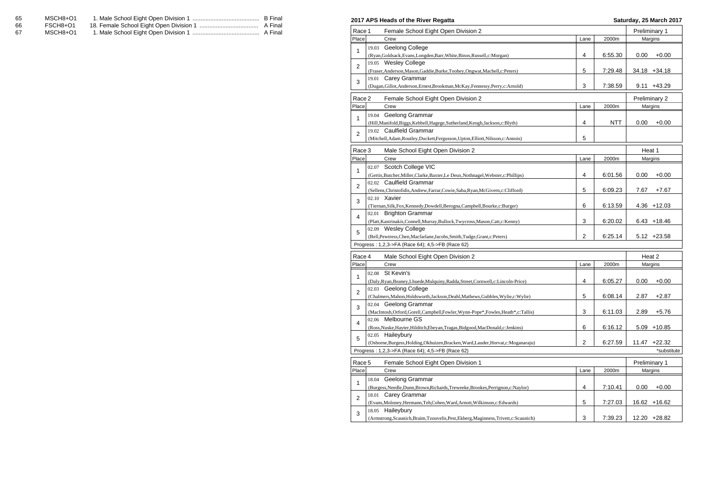| 65 | MSCH8+O1 | B Final |
|----|----------|---------|
| 66 | FSCH8+O1 |         |
| 67 | MSCH8+O1 |         |

|                | 2017 APS Heads of the River Regatta                                                                                            |                         |            |               | Saturday, 25 March 2017 |
|----------------|--------------------------------------------------------------------------------------------------------------------------------|-------------------------|------------|---------------|-------------------------|
| Race 1         | Female School Eight Open Division 2                                                                                            |                         |            | Preliminary 1 |                         |
| Place          | Crew                                                                                                                           | Lane                    | 2000m      |               | Margins                 |
|                | 19.03 Geelong College                                                                                                          |                         |            |               |                         |
| $\mathbf{1}$   | (Ryan, Goldsack, Evans, Longden, Barr, White, Binos, Russell, c: Morgan)                                                       | 4                       | 6:55.30    | 0.00          | $+0.00$                 |
| 2              | 19.05 Wesley College                                                                                                           |                         |            |               |                         |
|                | (Fraser, Anderson, Mason, Gaddie, Burke, Toohey, Ongwat, Machell, c: Peters)                                                   | 5                       | 7:29.48    |               | 34.18 +34.18            |
| 3              | 19.01 Carey Grammar                                                                                                            |                         |            |               |                         |
|                | (Dugan, Gillot, Anderson, Ernest, Brookman, McKay, Fennessy, Perry, c: Arnold)                                                 | 3                       | 7:38.59    |               | $9.11 + 43.29$          |
| Race 2         | Female School Eight Open Division 2                                                                                            |                         |            |               | Preliminary 2           |
| Place          | Crew                                                                                                                           | Lane                    | 2000m      |               | Margins                 |
|                | 19.04 Geelong Grammar                                                                                                          |                         |            |               |                         |
| 1              | (Hill, Manifold, Biggs, Kebbell, Hagege, Sutherland, Keogh, Jackson, c: Blyth)                                                 | 4                       | <b>NTT</b> | 0.00          | $+0.00$                 |
|                | 19.02 Caulfield Grammar                                                                                                        |                         |            |               |                         |
| $\overline{2}$ | (Mitchell, Adam, Routley, Duckett, Fergusson, Upton, Elliott, Nilsson, c: Annois)                                              | 5                       |            |               |                         |
|                |                                                                                                                                |                         |            |               |                         |
| Race 3         | Male School Eight Open Division 2                                                                                              |                         |            | Heat 1        |                         |
| Place          | Crew                                                                                                                           | Lane                    | 2000m      |               | Margins                 |
| 1              | 02.07 Scotch College VIC                                                                                                       |                         |            |               |                         |
|                | (Gertis, Butcher, Miller, Clarke, Baxter, Le Deux, Nothnagel, Webster, c: Phillips)                                            | 4                       | 6:01.56    | 0.00          | $+0.00$                 |
| $\overline{2}$ | 02.02 Caulfield Grammar                                                                                                        |                         |            |               |                         |
|                | (Sellens, Christofidis, Andrew, Farrar, Cowie, Saba, Ryan, McGivern, c: Clifford)                                              | 5                       | 6:09.23    | 7.67          | $+7.67$                 |
| 3              | 02.10 Xavier                                                                                                                   |                         |            |               |                         |
|                | (Tiernan, Silk, Fox, Kennedy, Dowdell, Berogna, Campbell, Bourke, c: Burger)                                                   | 6                       | 6:13.59    |               | $4.36 + 12.03$          |
| 4              | 02.01 Brighton Grammar                                                                                                         |                         |            |               |                         |
|                | (Platt, Kastrinakis, Connell, Murray, Bullock, Twycross, Mason, Catt, c: Kenny)                                                | 3                       | 6:20.02    |               | $6.43 + 18.46$          |
| 5              | 02.09 Wesley College                                                                                                           | $\overline{2}$          | 6:25.14    |               | $5.12 +23.58$           |
|                | (Bell, Pewtress, Chen, Macfarlane, Jacobs, Smith, Tudge, Grant, c: Peters)<br>Progress: 1,2,3->FA (Race 64); 4,5->FB (Race 62) |                         |            |               |                         |
|                |                                                                                                                                |                         |            |               |                         |
| Race 4         | Male School Eight Open Division 2                                                                                              |                         |            | Heat 2        |                         |
| Place          | Crew                                                                                                                           | Lane                    | 2000m      |               | Margins                 |
| 1              | 02.08 St Kevin's                                                                                                               |                         |            |               |                         |
|                | (Daly, Ryan, Beaney, Lhuede, Mulquiny, Radda, Street, Cornwell, c: Lincoln-Price)                                              | $\overline{\mathbf{4}}$ | 6:05.27    | 0.00          | $+0.00$                 |
| $\overline{2}$ | 02.03 Geelong College                                                                                                          |                         |            |               |                         |
|                | (Chalmers, Mahon, Holdsworth, Jackson, Deahl, Mathews, Gubbles, Wylie, c: Wylie)                                               | 5                       | 6:08.14    | 2.87          | $+2.87$                 |
| 3              | 02.04 Geelong Grammar                                                                                                          |                         |            |               |                         |
|                | (MacIntosh, Orford, Gorell, Campbell, Fowler, Wynn-Pope*, Fowles, Heath*, c: Tallis)                                           | 3                       | 6:11.03    | 2.89          | $+5.76$                 |
| 4              | 02.06 Melbourne GS                                                                                                             |                         |            |               |                         |
|                | (Ross, Nuske, Hayter, Hilditch, Ebeyan, Tragas, Bidgood, MacDonald, c: Jenkins)                                                | 6                       | 6:16.12    |               | $5.09 + 10.85$          |
| 5              | 02.05 Haileybury                                                                                                               |                         |            |               | $11.47 +22.32$          |
|                | (Osborne, Burgess, Holding, Okhuizen, Bracken, Ward, Lauder, Horvat, c: Moganaraju)                                            | 2                       | 6:27.59    |               |                         |
|                | Progress: 1,2,3->FA (Race 64); 4,5->FB (Race 62)                                                                               |                         |            |               | *substitute             |
| Race 5         | Female School Eight Open Division 1                                                                                            |                         |            | Preliminary 1 |                         |
| Place          | Crew                                                                                                                           | Lane                    | 2000m      |               | Margins                 |
| $\mathbf{1}$   | 18.04 Geelong Grammar                                                                                                          |                         |            |               |                         |
|                | (Burgess, Needle, Dunn, Brown, Richards, Treweeke, Brookes, Perrignon, c: Naylor)                                              | 4                       | 7:10.41    | 0.00          | $+0.00$                 |
| $\overline{2}$ | 18.01 Carey Grammar                                                                                                            |                         |            |               |                         |
|                | (Evans, Moloney, Hermann, Teh, Cohen, Ward, Arnott, Wilkinson, c: Edwards)                                                     | 5                       | 7:27.03    |               | 16.62 +16.62            |
| 3              | 18.05 Haileybury                                                                                                               |                         |            |               |                         |
|                | (Armstrong, Scaunich, Braim, Tzouvelis, Pest, Ekberg, Maginness, Trivett, c: Scaunich)                                         | 3                       | 7:39.23    |               | 12.20 +28.82            |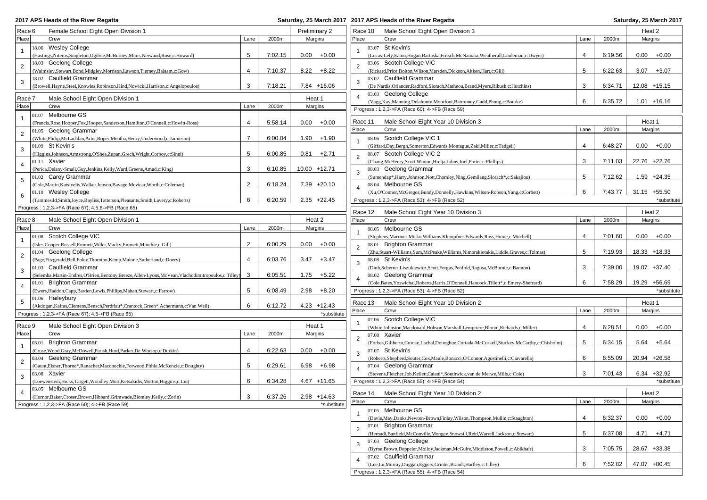**2017 APS Heads of the River Regatta** 

## **2017 APS Heads of the River Regatta Saturday, 25 March 2017**

| Race 6         | Female School Eight Open Division 1                                                                     |                |         | Preliminary 2       |             | Race 10        | Male School Eight Open Division 3                                                                |      |         | Heat 2              |
|----------------|---------------------------------------------------------------------------------------------------------|----------------|---------|---------------------|-------------|----------------|--------------------------------------------------------------------------------------------------|------|---------|---------------------|
| Place          | Crew                                                                                                    | Lane           | 2000m   | Margins             |             | Place          | Crew                                                                                             | Lane | 2000m   | Margins             |
| $\mathbf{1}$   | 18.06 Wesley College                                                                                    |                |         |                     |             |                | 03.07 St Kevin's                                                                                 |      |         |                     |
|                | (Hastings, Niteros, Singleton, Ogilvie, McBurney, Mims, Neiwand, Rose, c: Howard)                       | 5              | 7:02.15 | $0.00 + 0.00$       |             |                | (Lucas-Lely, Eaton, Hogan, Bartaska, Fritsch, McNamara, Weatherall, Lindeman, c: Dwyer)          | 4    | 6:19.56 | $0.00 + 0.00$       |
| $\overline{2}$ | 18.03 Geelong College                                                                                   |                |         |                     |             | 2              | 03.06 Scotch College VIC                                                                         |      |         |                     |
|                | (Walmsley, Stewart, Bond, Midgley, Morrison, Lawson, Tierney, Balaam, c: Gow)                           | 4              | 7:10.37 | $8.22 + 8.22$       |             |                | (Rickard, Price, Bolton, Wilson, Marsden, Dickson, Aitken, Hart, c: Gill)                        | 5    | 6:22.63 | $3.07 + 3.07$       |
| $\sqrt{3}$     | 18.02 Caulfield Grammar                                                                                 |                |         |                     |             | 3              | 03.02 Caulfield Grammar                                                                          |      |         |                     |
|                | (Browell, Hayne, Steel, Knowles, Robinson, Hind, Nowicki, Harrison, c: Angelopoulos)                    | 3              | 7:18.21 | 7.84 +16.06         |             |                | (De Nardis, Oriander, Radford, Slorach, Matheou, Brand, Myers, Ribush, c: Hutchins)              | 3    | 6:34.71 | $12.08 + 15.15$     |
|                |                                                                                                         |                |         |                     |             | 4              | 03.03 Geelong College                                                                            |      |         |                     |
| Race 7         | Male School Eight Open Division 1                                                                       |                |         | Heat 1              |             |                | (Vagg, Kay, Manning, Delahunty, Moorfoot, Batrouney, Gadd, Phung, c: Bourke)                     | 6    | 6:35.72 | $1.01 + 16.16$      |
| Place          | Crew                                                                                                    | Lane           | 2000m   | Margins             |             |                | Progress: 1,2,3->FA (Race 60); 4->FB (Race 59)                                                   |      |         |                     |
| $\mathbf{1}$   | 01.07 Melbourne GS                                                                                      |                |         |                     |             |                |                                                                                                  |      |         |                     |
|                | (Francis, Rose, Hooper, Fox, Hooper, Sanderson, Hamilton, O'Connell, c: Howitt-Ross)                    | 4              | 5:58.14 | $+0.00$<br>0.00     |             | Race 11        | Male School Eight Year 10 Division 3                                                             |      |         | Heat 1              |
| $\overline{2}$ | 01.05 Geelong Grammar                                                                                   |                |         |                     |             | Place          | Crew                                                                                             | Lane | 2000m   | Margins             |
|                | (White, Philip, McLachlan, Arter, Roper, Mentha, Henry, Underwood, c: Jamieson)                         | $\overline{7}$ | 6:00.04 | 1.90<br>$+1.90$     |             |                | 08.06 Scotch College VIC 1                                                                       |      |         |                     |
| 3              | 01.09 St Kevin's                                                                                        |                |         |                     |             |                | (Giffard,Day,Bergh,Somerton,Edwards,Montague,Zaki,Miller,c:Tadgell)                              | 4    | 6:48.27 | $0.00 + 0.00$       |
|                | (Higgins, Johnson, Armstrong, O'Shea, Zupan, Grech, Wright, Corboy, c: Sinni)                           | 5              | 6:00.85 | 0.81<br>$+2.71$     |             | 2              | 08.07 Scotch College VIC 2                                                                       |      |         |                     |
| $\overline{4}$ | 01.11 Xavier                                                                                            |                |         |                     |             |                | (Chang, McHenry, Scott, Winton, Hrelja, Johns, Joel, Porter, c: Phillips)                        | 3    | 7:11.03 | 22.76 +22.76        |
|                | (Perica, Delany-Small, Guy, Jenkins, Kelly, Ward, Greene, Amad, c: King)                                | 3              | 6:10.85 | 10.00 +12.71        |             | 3              | 08.03 Geelong Grammar                                                                            |      |         |                     |
| $\sqrt{5}$     | 01.02 Carey Grammar                                                                                     |                |         |                     |             |                | (Sumendap*, Harry, Johnson, Nott, Chomley, Ning, Gemilang, Slorach*, c: Sakajiou)                | 5    | 7:12.62 | $1.59 +24.35$       |
|                | (Cole, Martin, Katsivelis, Walker, Jobson, Bavage, Mcvicar, Worth, c: Coleman)                          | $\overline{2}$ | 6:18.24 | $7.39 +20.10$       |             | 4              | 08.04 Melbourne GS                                                                               |      |         |                     |
| 6              | 01.10 Wesley College                                                                                    |                |         |                     |             |                | (Xu,O'Connor,McGregor,Bundy,Donnelly,Hawkins,Wilson-Robson,Yang,c:Corbett)                       | 6    | 7:43.77 | $31.15 + 55.50$     |
|                | (Tammesild,Smith,Joyce,Bayliss,Tatterson,Pleasants,Smith,Lavery,c:Roberts)                              | 6              | 6:20.59 | $2.35 +22.45$       |             |                | Progress: 1,2,3->FA (Race 53); 4->FB (Race 52)                                                   |      |         | *substitute         |
|                | Progress: 1,2,3->FA (Race 67); 4,5,6->FB (Race 65)                                                      |                |         |                     |             |                |                                                                                                  |      |         |                     |
|                |                                                                                                         |                |         |                     |             | Race 12        | Male School Eight Year 10 Division 3                                                             |      |         | Heat 2              |
| Race 8         | Male School Eight Open Division 1                                                                       |                |         | Heat 2              |             | Place          | Crew                                                                                             | Lane | 2000m   | Margins             |
| Place          | Crew                                                                                                    | Lane           | 2000m   | Margins             |             |                | 08.05 Melbourne GS                                                                               |      |         |                     |
| $\overline{1}$ | 01.08 Scotch College VIC                                                                                |                |         |                     |             |                | (Stephens, Marriner, Misko, Williams, Klempfner, Edwards, Ross, Hume, c: Mitchell)               | 4    | 7:01.60 | $0.00 + 0.00$       |
|                | (Isles, Cooper, Russell, Emmett, Miller, Macky, Emmett, Murchie, c: Gill)                               | 2              | 6:00.29 | $+0.00$<br>$0.00\,$ |             | 2              | 08.01 Brighton Grammar                                                                           |      |         |                     |
| $\overline{c}$ | 01.04 Geelong College                                                                                   |                |         |                     |             |                | (Zhu,Stuart-Williams,Sum,McPeake,Williams,Nimorakiotakis,Liddle,Graves,c:Tzimas)                 | 5    | 7:19.93 | 18.33 +18.33        |
|                | (Page, Fitzgerald, Bell, Foley, Thornton, Kemp, Malone, Sutherland, c: Doery)                           | 4              | 6:03.76 | 3.47<br>$+3.47$     |             | 3              | 08.08 St Kevin's                                                                                 |      |         |                     |
| 3              | 01.03 Caulfield Grammar                                                                                 |                |         |                     |             |                | (Dinh, Scherrer, Liszukiewicz, Scott, Fergus, Penfold, Ragusa, McBurnie, c: Bannon)              | 3    | 7:39.00 | 19.07 +37.40        |
|                | (Selemba, Martin-Endres, O'Brien, Bentony, Breeze, Allen-Lyons, McVean, Vlachodimitropoulos, c: Tilley) | 3              | 6:05.51 | $+5.22$<br>1.75     |             |                | 08.02 Geelong Grammar                                                                            |      |         |                     |
| $\overline{4}$ | 01.01 Brighton Grammar                                                                                  |                |         |                     |             |                | (Cole, Bates, Yoswichai, Roberts, Harris, O'Donnell, Hancock, Tillett*, c: Emery-Sherrard)       | 6    | 7:58.29 | 19.29 +56.69        |
|                | (Ewers, Haddon, Capp, Barden, Lewis, Phillips, Mahan, Stewart, c: Farrow)                               | 5              | 6:08.49 | $2.98 + 8.20$       |             |                | Progress: 1,2,3->FA (Race 53); 4->FB (Race 52)                                                   |      |         | *substitute         |
| 5              | 01.06 Haileybury                                                                                        |                |         |                     |             |                |                                                                                                  |      |         |                     |
|                | (Akdogan,Kalfas,Clemens,Bensch,Perdriau*,Crantock,Green*,Achermann,c:Van Well)                          | 6              | 6:12.72 | 4.23 +12.43         |             | Race 13        | Male School Eight Year 10 Division 2                                                             |      |         | Heat 1              |
|                | Progress: 1,2,3->FA (Race 67); 4,5->FB (Race 65)                                                        |                |         |                     | *substitute | Place          | Crew                                                                                             | Lane | 2000m   | Margins             |
|                |                                                                                                         |                |         |                     |             |                | 07.06 Scotch College VIC                                                                         |      |         |                     |
| Race 9         | Male School Eight Open Division 3                                                                       |                |         | Heat 1              |             |                | (White,Johnston,Macdonald,Hobson,Marshall,Lempriere,Bloom,Richards,c:Miller)                     | 4    | 6:28.51 | 0.00<br>$+0.00$     |
| Place          | Crew                                                                                                    | Lane           | 2000m   | Margins             |             | $\overline{2}$ | 07.08 Xavier                                                                                     |      |         |                     |
| $\overline{1}$ | <b>Brighton Grammar</b><br>03.01                                                                        |                |         |                     |             |                | (Forbes, Giliberto, Crooke, Lachal, Donoghue, Cortada-McCorkell, Stuckey, McCarthy, c: Chisholm) | 5    | 6:34.15 | +5.64<br>5.64       |
|                | (Cruse, Wood, Gray, McDowell, Parish, Hurd, Parker, De Worsop, c: Durkin)                               | 4              | 6:22.63 | $0.00\,$<br>$+0.00$ |             | 3              | 07.07 St Kevin's                                                                                 |      |         |                     |
| $\overline{2}$ | 03.04 Geelong Grammar                                                                                   |                |         |                     |             |                | (Roberts, Shepherd, Souter, Cox, Maule, Bonacci, O'Connor, Agostinelli, c: Ciavarella)           | 6    | 6:55.09 | 20.94 +26.58        |
|                | (Gaunt, Eisner, Thorne*, Ranacher, Maconochie, Forwood, Pithie, McKenzie, c: Doughty)                   | 5              | 6:29.61 | $+6.98$<br>6.98     |             |                | 07.04 Geelong Grammar                                                                            |      |         |                     |
| 3              | 03.08 Xavier                                                                                            |                |         |                     |             |                | (Stevens, Fletcher, Job, Kellett, Caiani*, Southwick, van de Merwe, Mills, c: Cole)              | 3    | 7:01.43 | $6.34 + 32.92$      |
|                | (Loewenstein, Hicks, Targett, Woodley, Mort, Ketsakidis, Morton, Higgins, c: Liu)                       | 6              | 6:34.28 | $4.67 + 11.65$      |             |                | Progress: 1,2,3->FA (Race 55); 4->FB (Race 54)                                                   |      |         | *substitute         |
| $\overline{4}$ | 03.05 Melbourne GS                                                                                      |                |         |                     |             |                |                                                                                                  |      |         |                     |
|                | (Hornor, Baker, Croser, Brown, Hibbard, Grimwade, Blomley, Kelly, c: Zorin)                             | 3              | 6:37.26 | $2.98 + 14.63$      |             | Race 14        | Male School Eight Year 10 Division 2                                                             |      |         | Heat 2              |
|                | Progress: 1,2,3->FA (Race 60); 4->FB (Race 59)                                                          |                |         |                     | *substitute | Place          | Crew                                                                                             | Lane | 2000m   | Margins             |
|                |                                                                                                         |                |         |                     |             |                | 07.05 Melbourne GS                                                                               |      |         |                     |
|                |                                                                                                         |                |         |                     |             |                | (Davie, May, Danks, Newton-Brown, Finlay, Wilson, Thompson, Mullin, c: Staughton)                | 4    | 6:32.37 | $0.00\,$<br>$+0.00$ |
|                |                                                                                                         |                |         |                     |             | $\overline{2}$ | 07.01 Brighton Grammar                                                                           |      |         |                     |
|                |                                                                                                         |                |         |                     |             |                | (Hernadi, Banfield, McConville, Mongey, Snowsill, Reid, Warrell, Jackson, c: Stewart)            | 5    | 6:37.08 | $4.71 + 4.71$       |
|                |                                                                                                         |                |         |                     |             | 3              | 07.03 Geelong College                                                                            |      |         |                     |
|                |                                                                                                         |                |         |                     |             |                | (Byrne, Brown, Deppeler, Molloy, Jackman, McGuire, Middleton, Powell, c: Abikhair)               | 3    | 7:05.75 | 28.67 +33.38        |
|                |                                                                                                         |                |         |                     |             |                | 07.02 Caulfield Grammar                                                                          |      |         |                     |
|                |                                                                                                         |                |         |                     |             | $\overline{4}$ | (Lee,Lu,Murray,Duggan,Eggers,Grinter,Brandt,Hartley,c:Tilley)                                    | 6    | 7:52.82 | 47.07 +80.45        |
|                |                                                                                                         |                |         |                     |             |                | Progress: 1,2,3->FA (Race 55); 4->FB (Race 54)                                                   |      |         |                     |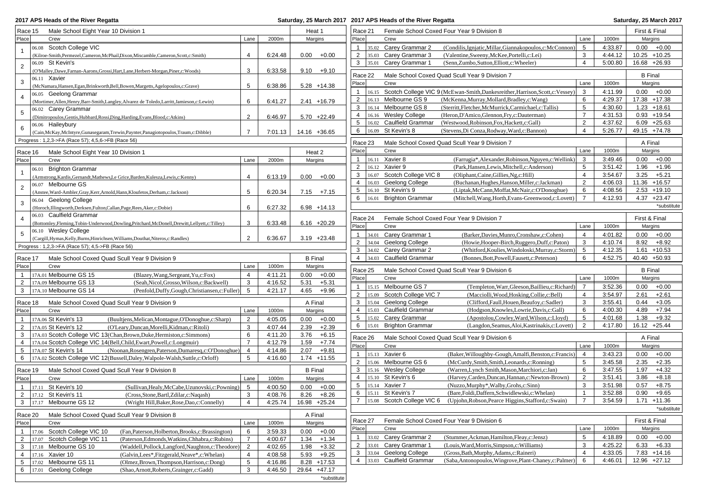|  |  | 2017 APS Heads of the River Regatt |  |  |  |
|--|--|------------------------------------|--|--|--|
|--|--|------------------------------------|--|--|--|

## **2017 APS Heads of the River Regatta Saturday, 25 March 2017 2017 APS Heads of the River Regatta Saturday, 25 March 2017**

| Race 15<br>Male School Eight Year 10 Division 1                                                     |                 |         | Heat 1         |                | Race 21        |         |                            | Female School Coxed Four Year 9 Division 8                                           |                                       |         | First & Final   |             |
|-----------------------------------------------------------------------------------------------------|-----------------|---------|----------------|----------------|----------------|---------|----------------------------|--------------------------------------------------------------------------------------|---------------------------------------|---------|-----------------|-------------|
| Place<br>Crew                                                                                       | Lane            | 2000m   |                | Margins        | Place          |         | Crew                       |                                                                                      | Lane                                  | 1000m   | Margins         |             |
| 06.08 Scotch College VIC                                                                            |                 |         |                |                | $\mathbf{1}$   |         | 35.02 Carey Grammar 2      | (Condilis, Ignjatic, Millar, Giannakopoulos, c: McConnon)                            | 5                                     | 4:33.87 | $0.00 + 0.00$   |             |
| (Kilroe-Smith, Permezel, Cameron, McPhail, Dixon, Miscamble, Cameron, Scott, c: Smith)              | 4               | 6:24.48 | 0.00           | $+0.00$        | 2              |         | 35.03 Carey Grammar 3      | (Valentine, Sweeny, McKee, Portelli, c: Lei)                                         | 3                                     | 4:44.12 | $10.25 + 10.25$ |             |
| 06.09 St Kevin's<br>$\overline{2}$                                                                  |                 |         |                |                | 3              |         | 35.01 Carey Grammar 1      | (Senn, Zumbo, Sutton, Elliott, c: Wheeler)                                           | $\overline{4}$                        | 5:00.80 | 16.68 +26.93    |             |
| (O'Malley, Dawe, Farnan-Aarons, Grossi, Hart, Lane, Herbert-Morgan, Piner, c: Woods)                | 3               | 6:33.58 |                | $9.10 + 9.10$  | Race 22        |         |                            | Male School Coxed Quad Scull Year 9 Division 7                                       |                                       |         | <b>B</b> Final  |             |
| 06.11 Xavier<br>3                                                                                   |                 |         |                |                | Place          |         | Crew                       |                                                                                      | Lane                                  | 1000m   | Margins         |             |
| (McNamara, Hansen, Egan, Brinkworth, Bell, Bowen, Margetts, Agelopoulos, c: Grave)                  | 5               | 6:38.86 |                | $5.28 + 14.38$ |                |         |                            |                                                                                      |                                       |         |                 |             |
| 06.05 Geelong Grammar<br>4                                                                          |                 |         |                |                | $\mathbf{1}$   |         |                            | 16.15 Scotch College VIC 9 (McEwan-Smith, Dankesreither, Harrison, Scott, c: Vessey) | 3                                     | 4:11.99 | $0.00 + 0.00$   |             |
| (Mortimer, Allen, Henry, Barr-Smith, Langley, Alvarez de Toledo, Larritt, Jamieson, c: Lewin)       | 6               | 6:41.27 |                | $2.41 + 16.79$ | 2              |         | 16.13 Melbourne GS 9       | (McKenna, Murray, Mollard, Bradley, c: Wang)                                         | 6                                     | 4:29.37 | 17.38 +17.38    |             |
| 06.02 Carey Grammar<br>5                                                                            |                 |         |                |                | 3              |         | 16.14 Melbourne GS 8       | (Sterritt, Fletcher, McMurrick, Carmichael, c: Tallis)                               | 5<br>$\overline{7}$                   | 4:30.60 | $1.23 + 18.61$  |             |
| (Dimitropoulos, Gentis, Hubbard, Rossi, Ding, Harding, Evans, Blood, c: Atkins)                     | 2               | 6:46.97 |                | $5.70 +22.49$  | $\overline{4}$ |         | 16.16 Wesley College       | (Heron, D'Amico, Glennon, Fry, c: Dauterman)                                         | $\overline{2}$                        | 4:31.53 | $0.93 + 19.54$  |             |
| 06.06 Haileybury<br>6                                                                               |                 |         |                |                | 5              |         | 16.02 Caulfield Grammar    | (Westwood, Robinson, Fox, Hackett, c: Gall)                                          | $\overline{4}$                        | 4:37.62 | $6.09 +25.63$   |             |
| (Cain, McKay, McIntyre, Gunasegaram, Trewin, Paynter, Panagiotopoulos, Traum, c: Dibble)            | $\overline{7}$  | 7:01.13 |                | 14.16 +36.65   | 6              |         | 16.09 St Kevin's 8         | (Stevens, Di Conza, Rodway, Ward, c: Bannon)                                         |                                       | 5:26.77 | 49.15 +74.78    |             |
| Progress: 1,2,3->FA (Race 57); 4,5,6->FB (Race 56)                                                  |                 |         |                |                | Race 23        |         |                            | Male School Coxed Quad Scull Year 9 Division 7                                       |                                       |         | A Final         |             |
| Race 16<br>Male School Eight Year 10 Division 1                                                     |                 |         |                | Heat 2         | Place          |         | Crew                       |                                                                                      | Lane                                  | 1000m   | Margins         |             |
| Place<br>Crew                                                                                       | Lane            | 2000m   |                | Margins        | $\mathbf{1}$   |         | 16.11 Xavier 8             | (Farrugia*, Alexander, Robinson, Nguyen, c: Wellink)                                 | 3                                     | 3:49.46 | $0.00 + 0.00$   |             |
|                                                                                                     |                 |         |                |                | $\overline{2}$ |         | 16.12 Xavier 9             | (Park, Hansen, Lewis, Mitchell, c: Anderson)                                         | 5                                     | 3:51.42 | $1.96 + 1.96$   |             |
| 06.01 Brighton Grammar                                                                              |                 |         |                |                | 3              |         | 16.07 Scotch College VIC 8 | (Oliphant, Caine, Gillies, Ng, c: Hill)                                              | $\overline{4}$                        | 3:54.67 | $3.25 + 5.21$   |             |
| (Armstrong, Kardis, Gernandt, Mathews, Le Grice, Barden, Kulesza, Lewis, c: Kenny)                  | $\overline{4}$  | 6:13.19 | 0.00           | $+0.00$        | 4              |         | 16.03 Geelong College      | (Buchanan, Hughes, Hanson, Miller, c: Jackman)                                       | $\overline{2}$                        | 4:06.03 | 11.36 +16.57    |             |
| 06.07 Melbourne GS<br>$\overline{2}$                                                                |                 |         |                |                | 5              |         | 16.10 St Kevin's 9         | (Liptak, McCann, Moffat, McNair, c: O'Donoghue)                                      | 6                                     | 4:08.56 | $2.53 + 19.10$  |             |
| (Anstee, Ward-Ambler, Gray, Kerr, Arnold, Hann, Kloufetos, Derham, c: Jackson)                      | 5               | 6:20.34 |                | $7.15 + 7.15$  | 6              |         | 16.01 Brighton Grammar     | (Mitchell, Wang, Horth, Evans-Greenwood, c: Lovett)                                  | 7                                     | 4:12.93 | $4.37 +23.47$   |             |
| 06.04 Geelong College<br>3                                                                          |                 |         |                |                |                |         |                            |                                                                                      |                                       |         |                 | *substitute |
| (Horoch, Illingworth, Derksen, Fulton, Callan, Page, Rees, Aker, c: Dobie)                          | 6               | 6:27.32 |                | $6.98 + 14.13$ |                |         |                            |                                                                                      |                                       |         |                 |             |
| 06.03 Caulfield Grammar<br>4                                                                        |                 |         |                |                | Race 24        |         |                            | Female School Coxed Four Year 9 Division 7                                           |                                       |         | First & Final   |             |
| (Bottomley,Fleming,Tobin-Underwood,Dowling,Pritchard,McDonell,Drewitt,Lellyett,c:Tilley)            | 3               | 6:33.48 |                | $6.16 +20.29$  | Place          |         | Crew                       |                                                                                      | Lane                                  | 1000m   | Margins         |             |
| 06.10 Wesley College<br>5                                                                           |                 |         |                |                | $\mathbf{1}$   |         | 34.01 Carey Grammar 1      | (Barker, Davies, Munro, Cronshaw, c: Cohen)                                          | $\overline{4}$                        | 4:01.82 | $0.00 + 0.00$   |             |
| (Cargill, Hymas, Kelly, Burns, Hinrichsen, Williams, Douthat, Niteros, c: Randles)                  | 2               | 6:36.67 |                | $3.19 +23.48$  | $\overline{2}$ |         | 34.04 Geelong College      | (Howie, Hooper-Birch, Ruggero, Duff, c: Paton)                                       | 3                                     | 4:10.74 | $8.92 + 8.92$   |             |
| Progress: 1,2,3->FA (Race 57); 4,5->FB (Race 56)                                                    |                 |         |                |                | 3              |         | 34.02 Carey Grammar 2      | (Whitford, Koulies, Windoloski, Murray, c: Storm)                                    | 5                                     | 4:12.35 | $1.61 + 10.53$  |             |
| Male School Coxed Quad Scull Year 9 Division 9<br>Race 17                                           |                 |         | <b>B</b> Final |                | $\overline{4}$ |         | 34.03 Caulfield Grammar    | (Bonnes, Bott, Powell, Fausett, c: Peterson)                                         | 6                                     | 4:52.75 | 40.40 +50.93    |             |
| Place<br>Crew                                                                                       | Lane            | 1000m   |                | Margins        |                |         |                            |                                                                                      |                                       |         |                 |             |
| 17A.01 Melbourne GS 15<br>(Blazey, Wang, Sergeant, Yu,c: Fox)<br>$\mathbf{1}$                       | 4               | 4:11.21 | 0.00           | $+0.00$        | Race 25        |         |                            | Male School Coxed Quad Scull Year 9 Division 6                                       |                                       |         | <b>B</b> Final  |             |
| 17A.09 Melbourne GS 13<br>$\overline{2}$<br>(Seah, Nicol, Grosso, Wilson, c: Backwell)              | 3               | 4:16.52 | 5.31           | $+5.31$        | Place          |         | Crew                       |                                                                                      | Lane                                  | 1000m   | Margins         |             |
| 17A.10 Melbourne GS 14<br>3<br>(Penfold,Duffy,Gough,Christiansen,c:Fuller)                          | 5               | 4:21.17 | 4.65           | $+9.96$        | $\mathbf{1}$   |         | 15.15 Melbourne GS 7       | (Templeton, Warr, Gleeson, Baillieu, c: Richard)                                     | $\overline{7}$                        | 3:52.36 | 0.00            | $+0.00$     |
|                                                                                                     |                 |         |                |                | $\overline{2}$ |         | 15.09 Scotch College VIC 7 | (Macciolli, Wood, Hosking, Collie, c: Bell)                                          | 4                                     | 3:54.97 | 2.61            | $+2.61$     |
| Race 18<br>Male School Coxed Quad Scull Year 9 Division 9                                           |                 |         | A Final        |                | 3              |         | 15.04 Geelong College      | (Clifford,Faull,Houen,Beaufoy,c:Sadler)                                              | 3                                     | 3:55.41 | 0.44            | $+3.05$     |
| Place<br>Crew                                                                                       | Lane            | 1000m   |                | Margins        | 4              |         | 15.03 Caulfield Grammar    | (Hodgson, Knowles, Lowrie, Davis, c: Gall)                                           | 6                                     | 4:00.30 | 4.89            | $+7.94$     |
| 17A.06 St Kevin's 13<br>(Buultjens, Melican, Montague, O'Donoghue, c: Sharp)<br>$\mathbf{1}$        | $\overline{2}$  | 4:05.05 | 0.00           | $+0.00$        | 5              |         | 15.02 Carey Grammar        | (Apostolou,Cowley,Ward,Wilson,c:Lloyd)                                               | 5                                     | 4:01.68 | 1.38            | $+9.32$     |
| 2<br>17A.05 St Kevin's 12<br>(O'Leary, Duncan, Morelli, Kidman, c: Ritoli)                          | 3               | 4:07.44 | 2.39           | $+2.39$        | 6              |         | 15.01 Brighton Grammar     | (Langdon, Seamus, Aloi, Kastrinakis, c: Lovett)                                      | 2                                     | 4:17.80 | 16.12 +25.44    |             |
| 17A.03 Scotch College VIC 13(Chan, Brown, Duke, Hermiston, c: Simmons)<br>3                         | 6               | 4:11.20 | 3.76           | $+6.15$        |                |         |                            |                                                                                      |                                       |         |                 |             |
| 17A.04 Scotch College VIC 14(Bell,Child,Ewart,Powell,c:Longmuir)<br>4                               | $\overline{7}$  |         |                |                |                |         |                            |                                                                                      |                                       |         | A Final         |             |
|                                                                                                     |                 |         |                |                |                | Race 26 |                            | Male School Coxed Quad Scull Year 9 Division 6                                       |                                       |         |                 |             |
|                                                                                                     |                 | 4:12.79 | 1.59           | $+7.74$        | Place          |         | Crew                       |                                                                                      | Lane                                  | 1000m   | Margins         |             |
| 17A.07 St Kevin's 14<br>5<br>(Noonan, Rosengren, Paterson, Dumaresq, c: O'Donoghue)                 | 4               | 4:14.86 | 2.07           | $+9.81$        | 1              |         | 15.13 Xavier 6             | (Baker, Willoughby-Gough, Amalfi, Benston, c: Francis)                               | $\overline{4}$                        | 3:43.23 | 0.00            | $+0.00$     |
| 17A.02 Scotch College VIC 12(Bussell, Daley, Walpole-Walsh, Suttle, c: Orloff)<br>6                 | 5               | 4:16.60 |                | 1.74 +11.55    | 2              |         | 15.06 Melbourne GS 6       | (McCurdy, Smith, Smith, Leonards, c: Ronning)                                        | 5                                     | 3:45.58 | 2.35            | $+2.35$     |
| Race 19<br>Male School Coxed Quad Scull Year 9 Division 8                                           |                 |         | <b>B</b> Final |                | 3              |         | 15.16 Wesley College       | (Warren, Lynch Smith, Mason, Marchiori, c: Jan)                                      | 6                                     | 3:47.55 | 1.97            | $+4.32$     |
| Place<br>Crew                                                                                       | Lane            | 1000m   |                | Margins        | $\overline{4}$ |         | 15.10 St Kevin's 6         | (Harvey, Carden, Duncan, Hannan, c: Newton-Brown)                                    | $\overline{2}$                        | 3:51.41 | 3.86            | $+8.18$     |
| 17.11 St Kevin's 10<br>(Sullivan, Healy, McCabe, Uzunovski, c: Powning)<br>$\mathbf{1}$             | 5               | 4:00.50 | 0.00           | $+0.00$        | 5 <sub>5</sub> |         | 15.14 Xavier 7             | (Nuzzo, Murphy <sup>*</sup> , Walby, Grohs, c: Sinn)                                 | 3                                     | 3:51.98 | 0.57            | $+8.75$     |
| $\overline{2}$<br>17.12 St Kevin's 11<br>(Cross, Stone, Bartl, Zdilar, c: Naqash)                   | 3               | 4:08.76 |                | $8.26 + 8.26$  | 6              |         | 15.11 St Kevin's 7         | (Bare, Foldi, Daffern, Schwidlewski, c: Whelan)                                      |                                       | 3:52.88 | 0.90            | $+9.65$     |
| (Wright Hill, Baker, Rose, Dao, c: Connelly)                                                        | 4               | 4:25.74 |                | 16.98 +25.24   | $\overline{7}$ |         |                            | 15.08 Scotch College VIC 6 (Upjohn, Robson, Pearce Higgins, Stafford, c: Swain)      | $\begin{array}{c} \hline \end{array}$ | 3:54.59 | $1.71 + 11.36$  |             |
| 3   17.17 Melbourne GS 12                                                                           |                 |         |                |                |                |         |                            |                                                                                      |                                       |         |                 | *substitute |
| Race 20<br>Male School Coxed Quad Scull Year 9 Division 8                                           |                 |         | A Final        |                |                |         |                            |                                                                                      |                                       |         |                 |             |
| Place<br>Crew                                                                                       | Lane            | 1000m   |                | Margins        | Race 27        |         |                            | Female School Coxed Four Year 9 Division 6                                           |                                       |         | First & Final   |             |
| 17.06 Scotch College VIC 10<br>(Fan, Paterson, Holberton, Brooks, c: Brassington)<br>$\overline{1}$ | 6               | 3:59.33 | 0.00           | $+0.00$        | Place          |         | Crew                       |                                                                                      | Lane                                  | 1000m   | Margins         |             |
| $\overline{2}$<br>17.07 Scotch College VIC 11<br>(Paterson, Edmonds, Watkins, Chhabra, c: Rubins)   | $\overline{7}$  | 4:00.67 | 1.34           | $+1.34$        | 1              |         | 33.02 Carey Grammar 2      | (Stummer, Ackman, Hamilton, Fleay, c: Jensz)                                         | 5                                     | 4:18.89 | 0.00            | $+0.00$     |
| 17.18 Melbourne GS 10<br>3<br>(Waddell,Pollock,Langford,Naughton,c:Theodore)                        | $\overline{2}$  | 4:02.65 | 1.98           | $+3.32$        | $\overline{2}$ |         | 33.01 Carey Grammar 1      | (Louis, Ward, Morris, Simpson, c: Williams)                                          | 3                                     | 4:25.22 | $6.33 + 6.33$   |             |
| 17.16 Xavier 10<br>(Galvin, Lees*, Fitzgerald, Neave*, c: Whelan)<br>4                              | $\overline{4}$  | 4:08.58 | 5.93           | $+9.25$        | 3              |         | 33.04 Geelong College      | (Gross, Bath, Murphy, Adams, c: Raineri)                                             | $\overline{4}$                        | 4:33.05 | $7.83 + 14.16$  |             |
| 17.02 Melbourne GS 11<br>5<br>(Olmez, Brown, Thompson, Harrison, c: Dong)                           | $5\phantom{.0}$ | 4:16.86 |                | $8.28 + 17.53$ | $\overline{4}$ |         | 33.03 Caulfield Grammar    | (Saba, Antonopoulos, Wingrove, Plant-Chaney, c: Palmer)                              | 6                                     | 4:46.01 | 12.96 +27.12    |             |
| $17.01$ Geelong College<br>6<br>(Shao, Arnott, Roberts, Grainger, c: Gadd)                          | $\mathbf{3}$    | 4:46.50 |                | 29.64 +47.17   |                |         |                            |                                                                                      |                                       |         |                 |             |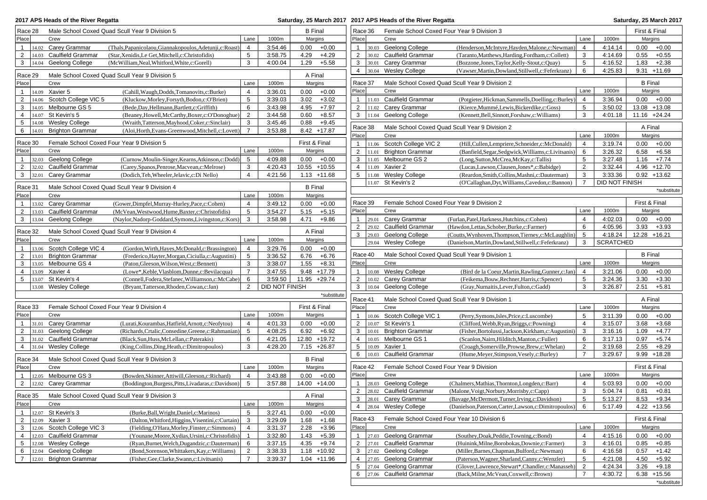|                                                    | 2017 APS Heads of the River Regatta                     |                                                                                                     |                     |                    |                |                    |                                |       | Saturday, 25 March 2017 2017 APS Heads of the River Regatta |                                                                                                |                |                    |                       | Saturday, 25 March 2017 |
|----------------------------------------------------|---------------------------------------------------------|-----------------------------------------------------------------------------------------------------|---------------------|--------------------|----------------|--------------------|--------------------------------|-------|-------------------------------------------------------------|------------------------------------------------------------------------------------------------|----------------|--------------------|-----------------------|-------------------------|
| Race 28                                            |                                                         | Male School Coxed Quad Scull Year 9 Division 5                                                      |                     |                    | <b>B</b> Final |                    | Race 36                        |       | Female School Coxed Four Year 9 Division 3                  |                                                                                                |                |                    | First & Final         |                         |
| Place                                              | Crew                                                    |                                                                                                     | Lane                | 1000m              | Margins        |                    | Place                          |       | Crew                                                        |                                                                                                | Lane           | 1000m              | Margins               |                         |
| 1   $14.02$                                        | Carey Grammar                                           | (Thals, Papanicolaou, Giannakopoulos, Adetunji, c: Roast)                                           | 4                   | 3:54.46            | 0.00           | $+0.00$            | $\mathbf{1}$                   |       | 30.03 Geelong College                                       | (Henderson, McIntyre, Hayden, Malone, c: Newman)                                               | $\overline{4}$ | 4:14.14            | 0.00                  | $+0.00$                 |
| $\overline{2}$<br>14.03                            | <b>Caulfield Grammar</b>                                | (Star, Xenidis, Le Get, Mitchell, c: Christofidis)                                                  | 5                   | 3:58.75            | 4.29           | $+4.29$            | $\overline{2}$                 |       | 30.02 Caulfield Grammar                                     | (Taranto, Matthews, Harding, Fordham, c: Collett)                                              | 3              | 4:14.69            | 0.55                  | $+0.55$                 |
| $\mathbf{3}$<br>14.04                              | Geelong College                                         | (McWilliam, Neal, Whitford, White, c: Gorell)                                                       | 3                   | 4:00.04            | 1.29           | $+5.58$            | 3                              |       | 30.01 Carey Grammar                                         | (Bozzone,Jones,Taylor,Kelly-Stout,c:Quay)                                                      | 5              | 4:16.52            | 1.83                  | $+2.38$                 |
| Race 29                                            |                                                         | Male School Coxed Quad Scull Year 9 Division 5                                                      |                     |                    | A Final        |                    | $\overline{4}$                 |       | 30.04 Wesley College                                        | (Vawser, Martin, Dowland, Stillwell, c: Feferkranz)                                            | 6              | 4:25.83            | $9.31 + 11.69$        |                         |
| Place                                              | Crew                                                    |                                                                                                     | Lane                | 1000m              | Margins        |                    | Race 37                        |       |                                                             | Male School Coxed Quad Scull Year 9 Division 2                                                 |                |                    | <b>B</b> Final        |                         |
|                                                    | 1   $14.09$ Xavier 5                                    | (Cahill, Waugh, Dodds, Tomanovits, c: Burke)                                                        | $\overline{4}$      | 3:36.01            | 0.00           | $+0.00$            | Place                          |       | Crew                                                        |                                                                                                | Lane           | 1000m              | Margins               |                         |
| $\overline{2}$<br>14.06                            | Scotch College VIC 5                                    | (Kluckow, Morley, Forsyth, Bodon, c: O'Brien)                                                       | 5                   | 3:39.03            | 3.02           | $+3.02$            | $\mathbf{1}$                   |       | 11.03 Caulfield Grammar                                     | (Potgieter, Hickman, Sammells, Doelling, c: Burley)                                            | 4              | 3:36.94            | $0.00 + 0.00$         |                         |
| 3<br>14.05                                         | Melbourne GS 5                                          | (Bede,Day,Hellmann,Bartlett,c:Griffith)                                                             | 6                   | 3:43.98            | 4.95           | $+7.97$            | $\overline{2}$                 |       | 11.02 Carey Grammar                                         | (Kierce, Mummé, Lewis, Bickerdike, c: Goss)                                                    | 5              | 3:50.02            | 13.08 +13.08          |                         |
| 4<br>14.07                                         | St Kevin's 5                                            | (Beaney, Howell, McCarthy, Boxer, c: O'Donoghue)                                                    | 2                   | 3:44.58            | 0.60           | $+8.57$            | $\mathbf{3}$                   |       | 11.04 Geelong College                                       | (Kennett, Bell, Sinnott, Forshaw, c: Williams)                                                 | 3              | 4:01.18            | 11.16 +24.24          |                         |
| 5<br>14.08                                         | <b>Wesley College</b>                                   | (Wraith, Tatterson, Mayhood, Coker, c: Sinclair)                                                    | 3                   | 3:45.46            | 0.88           | $+9.45$            | Race 38                        |       |                                                             | Male School Coxed Quad Scull Year 9 Division 2                                                 |                |                    | A Final               |                         |
| $6 \mid 14.01$                                     | <b>Brighton Grammar</b>                                 | (Aloi, Horth, Evans-Greenwood, Mitchell, c: Lovett)                                                 | $\overline{7}$      | 3:53.88            | $8.42 + 17.87$ |                    | Place                          |       | Crew                                                        |                                                                                                | Lane           | 1000m              | Margins               |                         |
| Race 30                                            | Female School Coxed Four Year 9 Division 5              |                                                                                                     |                     |                    | First & Final  |                    | $\mathbf{1}$                   |       | 11.06 Scotch College VIC 2                                  | (Hill, Cullen, Lempriere, Schneider, c: McDonald)                                              | $\overline{4}$ | 3:19.74            | 0.00                  | $+0.00$                 |
| Place                                              | Crew                                                    |                                                                                                     | Lane                | 1000m              | Margins        |                    | 2                              |       | 11.01 Brighton Grammar                                      | (Banfield, Segar, Sedgwick, Williams, c: Livitsanis)                                           | 6              | 3:26.32            | $6.58 + 6.58$         |                         |
| 1   $32.03$                                        | Geelong College                                         | (Curnow, Moulin-Singer, Kearns, Atkinson, c: Dodd)                                                  | 5                   | 4:09.88            | 0.00           | $+0.00$            | 3                              |       | 11.05 Melbourne GS 2                                        | (Long, Sutton, McCrea, McKay, c: Tallis)                                                       | 5              | 3:27.48            | $1.16 + 7.74$         |                         |
| $2 \mid 32.02$                                     | <b>Caulfield Grammar</b>                                | (Carey, Spanos, Penrose, Macvean, c: Melrose)                                                       | 3                   | 4:20.43            | 10.55 +10.55   |                    | $\overline{4}$                 |       | 11.09 Xavier 2                                              | (Lucas, Lawson, Clausen, Jones*, c: Babidge)                                                   | $\overline{2}$ | 3:32.44            | $4.96 + 12.70$        |                         |
| 3   32.01                                          | Carey Grammar                                           | (Dodich, Teh, Wheeler, Jelavic, c: Di Nello)                                                        | $\overline{4}$      | 4:21.56            | $1.13 + 11.68$ |                    | 5                              |       | 11.08 Wesley College                                        | (Reardon, Smith, Collins, Mashni, c: Dauterman)                                                | 3              | 3:33.36            | $0.92 + 13.62$        |                         |
| Race 31                                            |                                                         | Male School Coxed Quad Scull Year 9 Division 4                                                      |                     |                    | <b>B</b> Final |                    |                                |       | 11.07 St Kevin's 2                                          | (O'Callaghan, Dyt, Williams, Cavedon, c: Bannon)                                               | $\overline{7}$ | DID NOT FINISH     |                       |                         |
| Place                                              | Crew                                                    |                                                                                                     | Lane                | 1000m              | Margins        |                    |                                |       |                                                             |                                                                                                |                |                    |                       | *substitute             |
|                                                    | 1   13.02 Carey Grammar                                 | (Gower,Dimpfel,Murray-Hurley,Pace,c:Cohen)                                                          | $\overline{4}$      | 3:49.12            | 0.00           | $+0.00$            | Race 39                        |       | Female School Coxed Four Year 9 Division 2                  |                                                                                                |                |                    | First & Final         |                         |
| $2 \mid 13.03$                                     | <b>Caulfield Grammar</b>                                | (McVean, Westwood, Hume, Baxter, c: Christofidis)                                                   | 5                   | 3:54.27            | 5.15           | $+5.15$            | Place                          |       | Crew                                                        |                                                                                                | Lane           | 1000m              | Margins               |                         |
| 3   13.04                                          | Geelong College                                         | (Naylor,Nadorp-Goddard,Symons,Livingston,c:Kors)                                                    | 3                   | 3:58.98            | 4.71           | $+9.86$            | $\mathbf{1}$                   |       | 29.01 Carey Grammar                                         | (Furlan, Patel, Harkness, Hutchins, c: Cohen)                                                  | $\overline{4}$ | 4:02.03            | $0.00 + 0.00$         |                         |
|                                                    |                                                         |                                                                                                     |                     |                    |                |                    | $\overline{2}$                 |       | 29.02 Caulfield Grammar                                     | (Hawdon,Lettas,Schober,Burke,c:Farmer)                                                         | 6              | 4:05.96            | 3.93                  | $+3.93$                 |
| Race 32                                            |                                                         | Male School Coxed Quad Scull Year 9 Division 4                                                      |                     |                    | A Final        |                    | 3                              |       | 29.03 Geelong College                                       | (Coutts, Wynhoven, Thompson, Tierney, c: McLaughlin)                                           | 5              | 4:18.24            | 12.28 +16.21          |                         |
| Place                                              | Crew                                                    |                                                                                                     | Lane                | 1000m              | Margins        |                    |                                |       | 29.04 Wesley College                                        | (Danielson, Martin, Dowland, Stillwell, c: Feferkranz)                                         | 3              | <b>SCRATCHED</b>   |                       |                         |
|                                                    | 1   13.06 Scotch College VIC 4                          | (Gordon, Wirth, Hayes, McDonald, c: Brassington)                                                    | $\overline{4}$      | 3:29.76            | 0.00           | $+0.00$            | Race 40                        |       |                                                             | Male School Coxed Quad Scull Year 9 Division 1                                                 |                |                    | <b>B</b> Final        |                         |
| 2<br>13.01<br>3<br>13.05                           | <b>Brighton Grammar</b><br>Melbourne GS 4               | (Frederico, Hayter, Morgan, Ciciulla, c: Augustini)<br>(Paton, Gleeson, Wilson, West, c: Bennett)   | 5<br>3              | 3:36.52<br>3:38.07 | 6.76<br>1.55   | $+6.76$<br>$+8.31$ | Place                          |       | Crew                                                        |                                                                                                | Lane           | 1000m              | Margins               |                         |
| $\overline{4}$<br>13.09                            | Xavier 4                                                | (Lowe*,Keble,Vlasblom,Dunne,c:Bevilacqua)                                                           | $\overline{7}$      | 3:47.55            | $9.48 + 17.79$ |                    | $\mathbf{1}$                   |       | 10.08 Wesley College                                        | (Bird de la Coeur, Martin, Rawling, Gunner, c: Jan)                                            | $\overline{4}$ | 3:21.06            | 0.00                  | $+0.00$                 |
| $5 \mid 13.07$                                     | St Kevin's 4                                            | (Connell, Fodera, Stefanec, Williamson, c: McCabe)                                                  | 6                   | 3:59.50            | 11.95 +29.74   |                    | $\overline{2}$                 |       | 10.02 Carey Grammar                                         | (Feikema, Bouw, Rechner, Harris, c: Spencer)                                                   | 5              | 3:24.36            | 3.30                  | $+3.30$                 |
|                                                    | 13.08 Wesley College                                    | (Bryant,Tatterson,Rhoden,Cowan,c:Jan)                                                               | $\overline{2}$      | DID NOT FINISH     |                |                    | 3                              | 10.04 | Geelong College                                             | (Gray, Nurnaitis, Lever, Fulton, c: Gadd)                                                      | 3              | 3:26.87            | 2.51                  | $+5.81$                 |
|                                                    |                                                         |                                                                                                     |                     |                    |                | *substitute        |                                |       |                                                             |                                                                                                |                |                    |                       |                         |
| Race 33                                            | Female School Coxed Four Year 9 Division 4              |                                                                                                     |                     |                    | First & Final  |                    | Race 41<br>Place               |       | Crew                                                        | Male School Coxed Quad Scull Year 9 Division 1                                                 | Lane           | 1000m              | A Final<br>Margins    |                         |
| Place                                              | Crew                                                    |                                                                                                     | Lane                | 1000m              | Margins        |                    |                                |       |                                                             |                                                                                                | 5              |                    | 0.00                  | $+0.00$                 |
| 1 $ 31.01$                                         | Carey Grammar                                           | (Lurati, Kourambas, Hatfield, Arnott, c: Neofytou)                                                  | $\overline{4}$      | 4:01.33            | 0.00           | $+0.00$            | $\mathbf{1}$<br>$\overline{2}$ |       | 10.06 Scotch College VIC 1<br>10.07 St Kevin's 1            | (Perry, Symons, Isles, Price, c: Luscombe)<br>(Clifford, Webb, Ryan, Briggs, c: Powning)       | $\overline{4}$ | 3:11.39<br>3:15.07 | 3.68                  | $+3.68$                 |
| $2 \mid 31.03$                                     | Geelong College                                         | (Richards, Crtalic, Consedine, Greene, c: Rahmanian)                                                | 5                   | 4:08.25            | 6.92           | $+6.92$            | 3                              | 10.01 | <b>Brighton Grammar</b>                                     | (Fisher, Bortolussi, Jackson, Kirkham, c: Augustini)                                           | 3              | 3:16.16            | 1.09                  | $+4.77$                 |
| $3 \mid 31.02$                                     | <b>Caulfield Grammar</b>                                | (Black, Sun, Huss, McLellan, c: Paterakis)                                                          | 6                   | 4:21.05            | 12.80 +19.72   |                    | $\overline{4}$                 |       | 10.05 Melbourne GS 1                                        | (Scanlon, Nairn, Hilditch, Manton, c: Fuller)                                                  | 6              | 3:17.13            | 0.97                  | $+5.74$                 |
| 4 31.04                                            | <b>Wesley College</b>                                   | (King, Collins, Ding, Heath, c: Dimitropoulos)                                                      | 3                   | 4:28.20            | $7.15 +26.87$  |                    | $5\phantom{.0}$                |       | 10.09 Xavier 1                                              | (Croagh, Somerville, Prowse, Brew, c: Whelan)                                                  | $\overline{2}$ | 3:19.68            | 2.55                  | $+8.29$                 |
|                                                    |                                                         | Male School Coxed Quad Scull Year 9 Division 3                                                      |                     |                    | <b>B</b> Final |                    | 6                              |       | 10.03 Caulfield Grammar                                     | (Hume, Meyer, Stimpson, Vesely, c: Burley)                                                     | $\overline{7}$ | 3:29.67            | $9.99 + 18.28$        |                         |
| Race 34<br>Place                                   | Crew                                                    |                                                                                                     | Lane                | 1000m              | Margins        |                    | Race 42                        |       | Female School Coxed Four Year 9 Division                    |                                                                                                |                |                    | First & Final         |                         |
|                                                    |                                                         |                                                                                                     |                     |                    |                |                    | Place                          |       | Crew                                                        |                                                                                                | Lane           | 1000m              | Margins               |                         |
|                                                    | 1   $12.05$ Melbourne GS 3<br>2   $12.02$ Carey Grammar | (Bowden, Skinner, Attiwill, Gleeson, c: Richard)                                                    | 4<br>5              | 3:43.88<br>3:57.88 | 0.00           | $+0.00$            | $\mathbf{1}$                   |       | 28.03 Geelong College                                       |                                                                                                | $\overline{4}$ |                    | 0.00                  |                         |
|                                                    |                                                         | (Boddington, Burgess, Pitts, Livadaras, c: Davidson)                                                |                     |                    | 14.00 +14.00   |                    | $\overline{2}$                 |       | 28.02 Caulfield Grammar                                     | (Chalmers, Mathias, Thornton, Longden, c: Barr)<br>(Malone, Voigt, Norbury, Morrisby, c: Capp) | 3              | 5:03.93<br>5:04.74 | 0.81                  | $+0.00$<br>$+0.81$      |
|                                                    |                                                         | Race 35 Male School Coxed Quad Scull Year 9 Division 3                                              |                     |                    | A Final        |                    | 3                              |       | 28.01 Carey Grammar                                         | (Bavage, McDermott, Turner, Irving, c: Davidson)                                               | 5              | 5:13.27            | $8.53 + 9.34$         |                         |
| Place                                              | Crew                                                    |                                                                                                     | Lane                | 1000m              | Margins        |                    | $\overline{4}$                 |       | 28.04 Wesley College                                        | (Danielson, Paterson, Carter, Lawson, c: Dimitropoulos)                                        | 6              | 5:17.49            | $4.22 + 13.56$        |                         |
|                                                    | 1   $12.07$ St Kevin's 3                                | (Burke, Ball, Wright, Daniel, c: Marinos)                                                           | 5                   | 3:27.41            | 0.00           | $+0.00$            |                                |       |                                                             |                                                                                                |                |                    |                       |                         |
|                                                    | 2   $12.09$ Xavier 3                                    | (Dalton, Whitford, Higgins, Visentini, c: Curtain)                                                  | 3                   | 3:29.09            | 1.68           | $+1.68$            | Race 43                        |       |                                                             | Female School Coxed Four Year 10 Division 6                                                    |                |                    | First & Final         |                         |
|                                                    | 3   12.06 Scotch College VIC 3                          | (Fielding, O'Hara, Morley, Finster, c: Simmons)                                                     | 4                   | 3:31.37            | 2.28           | $+3.96$            | Place                          |       | Crew                                                        |                                                                                                | Lane           | 1000m              | Margins               |                         |
| $\overline{4}$<br>12.03<br>5 <sub>5</sub><br>12.08 | Caulfield Grammar<br><b>Wesley College</b>              | (Younane, Moore, Xydias, Ursini, c: Christofidis)<br>(Ryan, Burnet, Welch, Dugandzic, c: Dauterman) | $\overline{1}$<br>6 | 3:32.80            | 1.43<br>4.35   | $+5.39$            | $\mathbf{1}$<br>$\overline{2}$ |       | 27.03 Geelong Grammar<br>27.01 Caulfield Grammar            | (Southey, Doak, Peddie, Towning, c: Bond)<br>(Huinink, Milne, Borobokas, Downie, c: Farmer)    | 4<br>3         | 4:15.16            | $0.00 + 0.00$<br>0.85 |                         |
|                                                    | 6   12.04 Geelong College                               | (Bond, Sorenson, Whittakers, Kay, c: Williams)                                                      | $\overline{2}$      | 3:37.15<br>3:38.33 | $1.18 + 10.92$ | $+9.74$            | 3                              |       | 27.02 Geelong College                                       | (Miller, Barnes, Chapman, Bulford, c: Newman)                                                  | 6              | 4:16.01<br>4:16.58 | 0.57                  | $+0.85$<br>$+1.42$      |
| $\overline{7}$<br>12.01                            | <b>Brighton Grammar</b>                                 | (Fisher, Gee, Clarke, Swann, c: Livitsanis)                                                         | $\overline{7}$      | 3:39.37            | $1.04 + 11.96$ |                    | $\overline{4}$                 |       | 27.05 Geelong Grammar                                       | (Paterson, Wagner, Sharland, Canny, c: Wenzler)                                                | 5              | 4:21.08            | 4.50                  | $+5.92$                 |
|                                                    |                                                         |                                                                                                     |                     |                    |                |                    | $5\overline{5}$                |       | 27.04 Geelong Grammar                                       | (Glover, Lawrence, Stewart*, Chandler, c: Manasseh)                                            | $\overline{2}$ | 4:24.34            | 3.26                  | $+9.18$                 |
|                                                    |                                                         |                                                                                                     |                     |                    |                |                    |                                |       | 6 27.06 Caulfield Grammar                                   | (Back, Milne, McVean, Coxwell, c: Brown)                                                       | $\overline{7}$ | 4:30.72            | $6.38 + 15.56$        |                         |

\*substitute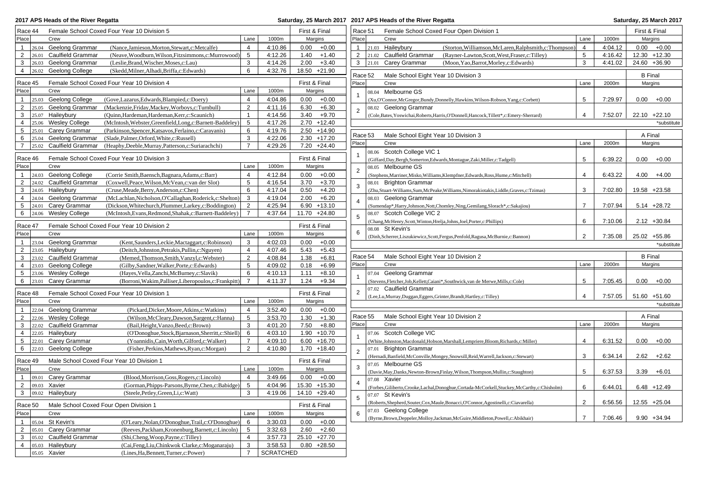|                         | Saturday, 25 March 2017<br>2017 APS Heads of the River Regatta<br>Saturday, 25 March 2017 2017 APS Heads of the River Regatta                          |                    |                               |                 |                                                                                                                  |                |         |                             |  |
|-------------------------|--------------------------------------------------------------------------------------------------------------------------------------------------------|--------------------|-------------------------------|-----------------|------------------------------------------------------------------------------------------------------------------|----------------|---------|-----------------------------|--|
| Race 44                 | Female School Coxed Four Year 10 Division 5                                                                                                            |                    | First & Final                 | Race 51         | Female School Coxed Four Open Division 1                                                                         |                |         | First & Final               |  |
| Place                   | Crew<br>Lane                                                                                                                                           | 1000m              | Margins                       | Place           | Crew                                                                                                             | Lane           | 1000m   | Margins                     |  |
| $\mathbf{1}$            | 26.04 Geelong Grammar<br>$\overline{4}$<br>(Nance, Jamieson, Morton, Stewart, c: Metcalfe)                                                             | 4:10.86            | 0.00<br>$+0.00$               | $\mathbf{1}$    | 21.03 Haileybury<br>(Storton, Williamson, McLaren, Ralphsmith, c: Thompson)                                      | $\overline{4}$ | 4:04.12 | $0.00 + 0.00$               |  |
| $\overline{2}$<br>26.01 | <b>Caulfield Grammar</b><br>$5\phantom{.0}$<br>(Neave, Woodburn, Wilson, Fitzsimmons, c: Murrowood)                                                    | 4:12.26            | 1.40<br>$+1.40$               | $\overline{2}$  | 21.02 Caulfield Grammar<br>(Rayner-Lawton, Scott, West, Fraser, c: Tilley)                                       | 5              | 4:16.42 | 12.30 +12.30                |  |
| 3<br>26.03              | Geelong Grammar<br>3<br>(Leslie, Brand, Wischer, Moses, c: Lau)                                                                                        | 4:14.26            | 2.00<br>$+3.40$               | 3               | 21.01 Carey Grammar<br>(Moon, Yao, Barrot, Morley, c: Edwards)                                                   | 3              | 4:41.02 | 24.60 +36.90                |  |
| 4<br>26.02              | 6<br>Geelong College<br>(Skedd, Milner, Alhadi, Briffa, c: Edwards)                                                                                    | 4:32.76            | 18.50 +21.90                  | Race 52         | Male School Eight Year 10 Division 3                                                                             |                |         | <b>B</b> Final              |  |
| Race 45                 | Female School Coxed Four Year 10 Division 4                                                                                                            |                    | First & Final                 | Place           | Crew                                                                                                             | Lane           | 2000m   | Margins                     |  |
| Place                   | Crew<br>Lane                                                                                                                                           | 1000m              | Margins                       |                 | 08.04 Melbourne GS                                                                                               |                |         |                             |  |
| 1                       | 25.03 Geelong College<br>$\overline{4}$<br>(Gove,Lazarus,Edwards,Blampied,c:Doery)                                                                     | 4:04.86            | $+0.00$<br>0.00               |                 | (Xu,O'Connor,McGregor,Bundy,Donnelly,Hawkins,Wilson-Robson,Yang,c:Corbett)                                       | 5              | 7:29.97 | $0.00 + 0.00$               |  |
| $\overline{2}$          | 2<br>25.05 Geelong Grammar<br>(Mackenzie, Friday, Mackey, Worboys, c: Turnbull)                                                                        | 4:11.16            | 6.30<br>$+6.30$               | $\overline{2}$  | 08.02 Geelong Grammar                                                                                            |                |         |                             |  |
| 3                       | 25.07 Haileybury<br>(Quinn, Hardeman, Hardeman, Kerr, c: Scaunich)<br>$\mathbf{1}$                                                                     | 4:14.56            | 3.40<br>$+9.70$               |                 | (Cole, Bates, Yoswichai, Roberts, Harris, O'Donnell, Hancock, Tillett*, c: Emery-Sherrard)                       | $\overline{4}$ | 7:52.07 | $22.10 + 22.10$             |  |
| 4                       | 25.06 Wesley College<br>5<br>(McIntosh, Webster, Greenfield, Long, c: Barnett-Baddeley)                                                                | 4:17.26            | $2.70 + 12.40$                |                 |                                                                                                                  |                |         | *substitute                 |  |
| 5                       | 25.01 Carey Grammar<br>(Parkinson, Spencer, Katsavos, Ferlaino, c: Carayanis)<br>6                                                                     | 4:19.76            | $2.50 + 14.90$                | Race 53         | Male School Eight Year 10 Division 3                                                                             |                |         | A Final                     |  |
| 6                       | 25.04 Geelong Grammar<br>(Slade, Palmer, Orford, White, c: Russell)<br>3                                                                               | 4:22.06            | $2.30 + 17.20$                | Place           | Crew                                                                                                             | Lane           | 2000m   | Margins                     |  |
| $\overline{7}$<br>25.02 | $\overline{7}$<br><b>Caulfield Grammar</b><br>(Heaphy,Deeble,Murray,Patterson,c:Suriarachchi)                                                          | 4:29.26            | $7.20 +24.40$                 |                 | 08.06 Scotch College VIC 1                                                                                       |                |         |                             |  |
| Race 46                 | Female School Coxed Four Year 10 Division 3                                                                                                            |                    | First & Final                 |                 | (Giffard, Day, Bergh, Somerton, Edwards, Montague, Zaki, Miller, c: Tadgell)                                     | 5              | 6:39.22 | 0.00<br>$+0.00$             |  |
| Place                   | Crew<br>Lane                                                                                                                                           | 1000m              | Margins                       |                 | 08.05 Melbourne GS                                                                                               |                |         |                             |  |
| $\mathbf{1}$            | 24.03 Geelong College<br>(Corrie Smith, Baensch, Bagnara, Adams, c: Barr)<br>$\overline{4}$                                                            | 4:12.84            | $+0.00$<br>0.00               | $\overline{2}$  | (Stephens, Marriner, Misko, Williams, Klempfner, Edwards, Ross, Hume, c: Mitchell)                               | $\overline{4}$ | 6:43.22 | $4.00 + 4.00$               |  |
| $\overline{2}$          | 5<br>24.02 Caulfield Grammar<br>(Coxwell, Peace, Wilson, McVean, c: van der Slot)                                                                      | 4:16.54            | 3.70<br>$+3.70$               | 3               | 08.01 Brighton Grammar                                                                                           |                |         |                             |  |
| 3                       | 24.05 Haileybury<br>(Cruse, Meade, Berry, Anderson, c: Chen)<br>6                                                                                      | 4:17.04            | 0.50<br>$+4.20$               |                 | (Zhu,Stuart-Williams,Sum,McPeake,Williams,Nimorakiotakis,Liddle,Graves,c:Tzimas)                                 | 3              | 7:02.80 | 19.58 +23.58                |  |
| 4                       | 24.04 Geelong Grammar<br>3<br>(McLachlan, Nicholson, O'Callaghan, Roderick, c: Shelton)                                                                | 4:19.04            | $+6.20$<br>2.00               | $\overline{4}$  | 08.03 Geelong Grammar                                                                                            |                |         |                             |  |
| 5                       | 24.01 Carey Grammar<br>2<br>(Dickson, Whitechurch, Plummer, Larkey, c: Boddington)                                                                     | 4:25.94            | $6.90 + 13.10$                |                 | (Sumendap*, Harry, Johnson, Nott, Chomley, Ning, Gemilang, Slorach*, c: Sakajiou)                                | $\overline{7}$ | 7:07.94 | $5.14 +28.72$               |  |
| 6                       | $24.06$ Wesley College<br>(McIntosh, Evans, Redmond, Shahak, c: Barnett-Baddeley)<br>7                                                                 | 4:37.64            | 11.70 +24.80                  | 5               | 08.07 Scotch College VIC 2                                                                                       |                |         |                             |  |
| Race 47                 | Female School Coxed Four Year 10 Division 2                                                                                                            |                    | First & Final                 |                 | (Chang, McHenry, Scott, Winton, Hrelja, Johns, Joel, Porter, c: Phillips)                                        | 6              | 7:10.06 | $2.12 + 30.84$              |  |
| Place                   | Crew<br>Lane                                                                                                                                           | 1000m              | Margins                       | 6               | 08.08 St Kevin's                                                                                                 |                |         |                             |  |
| $\mathbf{1}$            | 23.04 Geelong Grammar<br>(Kent, Saunders, Leckie, Mactaggart, c: Robinson)<br>3                                                                        | 4:02.03            | 0.00<br>$+0.00$               |                 | (Dinh,Scherrer,Liszukiewicz,Scott,Fergus,Penfold,Ragusa,McBurnie,c:Bannon)                                       | $\overline{2}$ | 7:35.08 | 25.02 +55.86<br>*substitute |  |
| $\overline{2}$          | $ 23.05$ Haileybury<br>(Deitch, Johnston, Petrakis, Pullin, c: Nguyen)<br>$\overline{4}$                                                               | 4:07.46            | 5.43<br>$+5.43$               |                 |                                                                                                                  |                |         |                             |  |
| 3                       | 2<br>23.02 Caulfield Grammar<br>(Memed,Thomson,Smith,Vanzyl,c:Webster)                                                                                 | 4:08.84            | 1.38<br>$+6.81$               | Race 54         | Male School Eight Year 10 Division 2                                                                             |                |         | <b>B</b> Final              |  |
| 4                       | 5<br>23.03 Geelong College<br>(Gilby,Sandner,Walker,Porte,c:Edwards)                                                                                   | 4:09.02            | $+6.99$<br>0.18               | Place           | Crew                                                                                                             | Lane           | 2000m   | Margins                     |  |
| 5                       | 6<br>23.06 Wesley College<br>(Hayes, Vella, Zanchi, McBurney, c: Slavik)                                                                               | 4:10.13            | 1.11<br>$+8.10$               |                 | 07.04 Geelong Grammar                                                                                            |                |         |                             |  |
| 6                       | $\overline{7}$<br>$23.01$ Carey Grammar<br>(Borroni, Wakim, Palliser, Liberopoulos, c: Frankpitt)                                                      | 4:11.37            | 1.24<br>$+9.34$               |                 | (Stevens, Fletcher, Job, Kellett, Caiani*, Southwick, van de Merwe, Mills, c: Cole)<br>07.02 Caulfield Grammar   | 5              | 7:05.45 | $0.00 + 0.00$               |  |
| Race 48                 | Female School Coxed Four Year 10 Division 1                                                                                                            |                    | First & Final                 | $\overline{2}$  |                                                                                                                  |                |         |                             |  |
| Place                   | Crew<br>Lane                                                                                                                                           | 1000m              | Margins                       |                 | (Lee,Lu,Murray,Duggan,Eggers,Grinter,Brandt,Hartley,c:Tilley)                                                    | $\overline{4}$ | 7:57.05 | 51.60 +51.60                |  |
| $\mathbf{1}$            | $\overline{4}$<br>22.04 Geelong Grammar<br>(Pickard, Dicker, Moore, Atkins, c: Watkins)                                                                | 3:52.40            | 0.00<br>$+0.00$               |                 |                                                                                                                  |                |         | *substitute                 |  |
| 2                       | 22.06 Wesley College<br>5<br>(Wilson, McCleary, Dawson, Sargent, c: Hanna)                                                                             | 3:53.70            | $+1.30$<br>1.30               | Race 55         | Male School Eight Year 10 Division 2                                                                             |                |         | A Final                     |  |
| 3<br>22.02              | <b>Caulfield Grammar</b><br>3<br>(Bail, Height, Vanzo, Beed, c: Brown)                                                                                 | 4:01.20            | 7.50<br>$+8.80$               | Place           | Crew                                                                                                             | Lane           | 2000m   | Margins                     |  |
| 4                       | 22.05 Haileybury<br>(O'Donoghue, Stock, Bjarnason, Sherritt, c: Shiell)<br>6                                                                           | 4:03.10            | $1.90 + 10.70$                |                 | 07.06 Scotch College VIC                                                                                         |                |         |                             |  |
| 5                       | $22.01$ Carey Grammar<br>(Yoannidis, Cain, Worth, Gilford, c: Walker)<br>$\overline{7}$                                                                | 4:09.10            | $6.00 + 16.70$                |                 | (White,Johnston,Macdonald,Hobson,Marshall,Lempriere,Bloom,Richards,c:Miller)                                     | $\overline{4}$ | 6:31.52 | 0.00<br>$+0.00$             |  |
| 6                       | 22.03 Geelong College<br>2<br>(Fisher, Perkins, Mathews, Ryan, c: Morgan)                                                                              | 4:10.80            | $1.70 + 18.40$                | $\overline{2}$  | 07.01 Brighton Grammar                                                                                           |                |         |                             |  |
| Race 49                 | Male School Coxed Four Year 10 Division 1                                                                                                              |                    | First & Final                 |                 | (Hernadi, Banfield, McConville, Mongey, Snowsill, Reid, Warrell, Jackson, c: Stewart)                            | 3              | 6:34.14 | 2.62<br>$+2.62$             |  |
| Place                   | Crew<br>Lane                                                                                                                                           | 1000m              | Margins                       | 3               | 07.05 Melbourne GS                                                                                               |                |         |                             |  |
|                         | 09.01 Carey Grammar<br>(Blood, Morrison, Goss, Rogers, c: Lincoln)<br>$\overline{4}$                                                                   | 3:49.66            | $0.00 + 0.00$                 |                 | (Davie, May, Danks, Newton-Brown, Finlay, Wilson, Thompson, Mullin, c: Staughton)                                | 5              | 6:37.53 | $3.39 + 6.01$               |  |
| $\overline{2}$          | 5<br>09.03 Xavier<br>(Gorman, Phipps-Parsons, Byrne, Chen, c: Babidge)                                                                                 | 4:04.96            | 15.30 +15.30                  | $\overline{4}$  | 07.08 Xavier<br>(Forbes, Giliberto, Crooke, Lachal, Donoghue, Cortada-McCorkell, Stuckey, McCarthy, c: Chisholm) | 6              | 6:44.01 | $6.48 + 12.49$              |  |
|                         | 3   09.02 Haileybury<br>(Steele, Petley, Green, Li, c: Watt)<br>3                                                                                      | 4:19.06            | 14.10 +29.40                  |                 | 07.07 St Kevin's                                                                                                 |                |         |                             |  |
|                         |                                                                                                                                                        |                    |                               | $5\phantom{.0}$ | (Roberts, Shepherd, Souter, Cox, Maule, Bonacci, O'Connor, Agostinelli, c: Ciavarella)                           | 2              | 6:56.56 | 12.55 +25.04                |  |
| Race 50                 | Male School Coxed Four Open Division 1                                                                                                                 |                    | First & Final                 |                 | 07.03 Geelong College                                                                                            |                |         |                             |  |
| Place                   | Crew<br>Lane                                                                                                                                           | 1000m              | Margins                       | 6               | (Byrne, Brown, Deppeler, Molloy, Jackman, McGuire, Middleton, Powell, c: Abikhair)                               | 7              | 7:06.46 | $9.90 + 34.94$              |  |
|                         | 1 $\vert$ 05.04 St Kevin's<br>(O'Leary, Nolan, O'Donoghue, Trail, c: O'Donoghue)<br>6                                                                  | 3:30.03            | $0.00 + 0.00$                 |                 |                                                                                                                  |                |         |                             |  |
| 2<br>3                  | 05.01 Carey Grammar<br>(Reeves, Packham, Kronenburg, Barnett, c: Lincoln)<br>5<br>05.02 Caulfield Grammar<br>(Shi, Cheng, Woop, Payne, c: Tilley)<br>4 | 3:32.63<br>3:57.73 | $2.60 + 2.60$<br>25.10 +27.70 |                 |                                                                                                                  |                |         |                             |  |
| 4                       | (Cai, Feng, Liu, Chinkwok Clarke, c: Moganaraju)<br>3<br>$05.03$ Haileybury                                                                            | 3:58.53            | $0.80 +28.50$                 |                 |                                                                                                                  |                |         |                             |  |
|                         | $\overline{7}$<br>05.05 Xavier<br>(Lines, Ha, Bennett, Turner, c: Power)                                                                               | <b>SCRATCHED</b>   |                               |                 |                                                                                                                  |                |         |                             |  |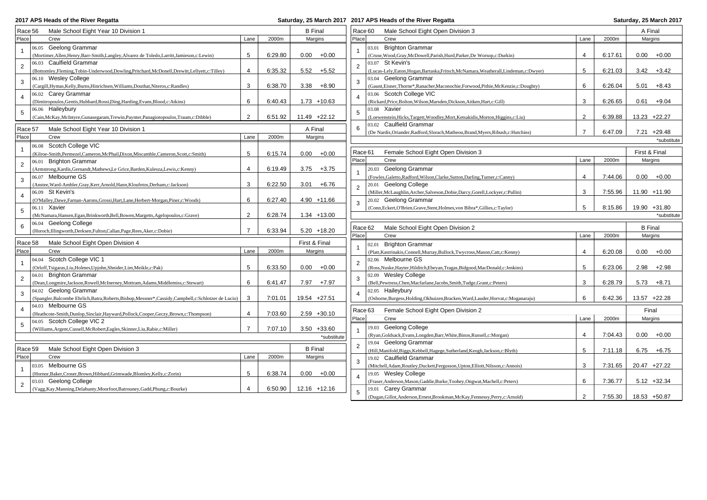| 2017 APS Heads of the River Regatta |
|-------------------------------------|
|-------------------------------------|

|                | 2017 APS Heads of the River Regatta                                                                      |                |         |                 | Saturday, 25 March 2017 2017 APS Heads of the River Regatta                                               |                |         | Saturday, 25 March 2017 |
|----------------|----------------------------------------------------------------------------------------------------------|----------------|---------|-----------------|-----------------------------------------------------------------------------------------------------------|----------------|---------|-------------------------|
|                | Male School Eight Year 10 Division 1<br>Race 56                                                          |                |         | <b>B</b> Final  | Race 60<br>Male School Eight Open Division 3                                                              |                |         | A Final                 |
| Place          | Crew                                                                                                     | Lane           | 2000m   | Margins         | Place<br>Crew                                                                                             | Lane           | 2000m   | Margins                 |
|                | 06.05 Geelong Grammar                                                                                    |                |         |                 | 03.01 Brighton Grammar                                                                                    |                |         |                         |
| $\mathbf{1}$   | (Mortimer, Allen, Henry, Barr-Smith, Langley, Alvarez de Toledo, Larritt, Jamieson, c: Lewin)            | 5              | 6:29.80 | 0.00<br>$+0.00$ | (Cruse, Wood, Gray, McDowell, Parish, Hurd, Parker, De Worsop, c: Durkin)                                 | $\overline{4}$ | 6:17.61 | 0.00<br>$+0.00$         |
|                | 06.03 Caulfield Grammar                                                                                  |                |         |                 | 03.07 St Kevin's                                                                                          |                |         |                         |
| $\sqrt{2}$     | (Bottomley, Fleming, Tobin-Underwood, Dowling, Pritchard, McDonell, Drewitt, Lellyett, c: Tilley)        | $\overline{4}$ | 6:35.32 | 5.52<br>$+5.52$ | $\overline{2}$<br>(Lucas-Lely, Eaton, Hogan, Bartaska, Fritsch, McNamara, Weatherall, Lindeman, c: Dwyer) | 5              | 6:21.03 | 3.42<br>$+3.42$         |
|                | 06.10 Wesley College                                                                                     |                |         |                 | 03.04 Geelong Grammar                                                                                     |                |         |                         |
| 3              | (Cargill, Hymas, Kelly, Burns, Hinrichsen, Williams, Douthat, Niteros, c: Randles)                       | 3              | 6:38.70 | $3.38 + 8.90$   | 3<br>(Gaunt, Eisner, Thorne*, Ranacher, Maconochie, Forwood, Pithie, McKenzie, c: Doughty)                | 6              | 6:26.04 | 5.01<br>+8.43           |
|                | 06.02 Carey Grammar                                                                                      |                |         |                 | 03.06 Scotch College VIC                                                                                  |                |         |                         |
| $\overline{4}$ | (Dimitropoulos, Gentis, Hubbard, Rossi, Ding, Harding, Evans, Blood, c: Atkins)                          | 6              | 6:40.43 | $1.73 + 10.63$  | (Rickard, Price, Bolton, Wilson, Marsden, Dickson, Aitken, Hart, c: Gill)                                 | 3              | 6:26.65 | $0.61 + 9.04$           |
|                | 06.06 Haileybury                                                                                         |                |         |                 | 03.08 Xavier                                                                                              |                |         |                         |
| 5              | (Cain, McKay, McIntyre, Gunasegaram, Trewin, Paynter, Panagiotopoulos, Traum, c: Dibble)                 | 2              | 6:51.92 | $11.49 +22.12$  | 5<br>(Loewenstein, Hicks, Targett, Woodley, Mort, Ketsakidis, Morton, Higgins, c: Liu)                    | 2              | 6:39.88 | 13.23 +22.27            |
|                |                                                                                                          |                |         |                 | 03.02 Caulfield Grammar<br>6                                                                              |                |         |                         |
|                | Male School Eight Year 10 Division 1<br>Race 57                                                          |                |         | A Final         | (De Nardis, Oriander, Radford, Slorach, Matheou, Brand, Myers, Ribush, c: Hutchins)                       | $\overline{7}$ | 6:47.09 | $7.21 + 29.48$          |
| Place          | Crew                                                                                                     | Lane           | 2000m   | Margins         |                                                                                                           |                |         | *substitute             |
| $\mathbf{1}$   | 06.08 Scotch College VIC                                                                                 |                |         |                 | Race 61<br>Female School Eight Open Division 3                                                            |                |         | First & Final           |
|                | (Kilroe-Smith, Permezel, Cameron, McPhail, Dixon, Miscamble, Cameron, Scott, c: Smith)                   | 5              | 6:15.74 | $0.00 + 0.00$   | Place<br>Crew                                                                                             | Lane           | 2000m   | Margins                 |
| $\overline{2}$ | 06.01 Brighton Grammar                                                                                   |                |         |                 |                                                                                                           |                |         |                         |
|                | (Armstrong, Kardis, Gernandt, Mathews, Le Grice, Barden, Kulesza, Lewis, c: Kenny)                       | $\overline{4}$ | 6:19.49 | $3.75 + 3.75$   | 20.03 Geelong Grammar                                                                                     |                |         |                         |
| 3              | 06.07 Melbourne GS                                                                                       |                |         |                 | (Fowles, Galetto, Radford, Wilson, Clarke, Sutton, Darling, Turner, c: Canny)                             | $\overline{4}$ | 7:44.06 | $0.00 + 0.00$           |
|                | (Anstee, Ward-Ambler, Gray, Kerr, Arnold, Hann, Kloufetos, Derham, c: Jackson)                           | 3              | 6:22.50 | $+6.76$<br>3.01 | 20.01 Geelong College<br>$\overline{2}$                                                                   |                |         |                         |
| $\overline{4}$ | 06.09 St Kevin's                                                                                         |                |         |                 | (Miller, McLaughlin, Archer, Salveson, Dobie, Darcy, Gorell, Lockyer, c: Pullin)                          | 3              | 7:55.96 | 11.90 +11.90            |
|                | (O'Malley, Dawe, Farnan-Aarons, Grossi, Hart, Lane, Herbert-Morgan, Piner, c: Woods)                     | 6              | 6:27.40 | 4.90 +11.66     | 20.02 Geelong Grammar<br>3                                                                                |                |         |                         |
| 5              | 06.11 Xavier                                                                                             |                |         |                 | (Conn, Eckert, O'Brien, Grave, Stent, Holmes, von Bibra*, Gillies, c: Taylor)                             | 5              | 8:15.86 | 19.90 +31.80            |
|                | (McNamara, Hansen, Egan, Brinkworth, Bell, Bowen, Margetts, Agelopoulos, c: Grave)                       | $\overline{2}$ | 6:28.74 | $1.34 + 13.00$  |                                                                                                           |                |         | *substitute             |
| 6              | 06.04 Geelong College                                                                                    | $\overline{7}$ |         |                 | Male School Eight Open Division 2<br>Race 62                                                              |                |         | <b>B</b> Final          |
|                | (Horoch, Illingworth, Derksen, Fulton, Callan, Page, Rees, Aker, c: Dobie)                               |                | 6:33.94 | $5.20 + 18.20$  | Place<br>Crew                                                                                             | 2000m          | Margins |                         |
|                | Race 58<br>Male School Eight Open Division 4                                                             |                |         | First & Final   | 02.01 Brighton Grammar                                                                                    |                |         |                         |
| Place          | Crew                                                                                                     | Lane           | 2000m   | Margins         | (Platt, Kastrinakis, Connell, Murray, Bullock, Twycross, Mason, Catt, c: Kenny)                           | $\overline{4}$ | 6:20.08 | 0.00<br>$+0.00$         |
|                | 04.04 Scotch College VIC 1                                                                               |                |         |                 | 02.06 Melbourne GS                                                                                        |                |         |                         |
| $\mathbf{1}$   | (Orloff,Tsigaras,Liu,Holmes,Upjohn,Shnider,Lim,Meikle,c:Pak)                                             | 5              | 6:33.50 | $+0.00$<br>0.00 | 2<br>(Ross, Nuske, Hayter, Hilditch, Ebeyan, Tragas, Bidgood, MacDonald, c: Jenkins)                      | 5              | 6:23.06 | 2.98<br>$+2.98$         |
|                | <b>Brighton Grammar</b><br>04.01                                                                         |                |         |                 | 02.09 Wesley College                                                                                      |                |         |                         |
| $\overline{2}$ | (Dean,Longmire,Jackson,Rowell,McInerney,Mottram,Adams,Middlemiss,c:Stewart)                              | 6              | 6:41.47 | 7.97<br>$+7.97$ | 3<br>(Bell, Pewtress, Chen, Macfarlane, Jacobs, Smith, Tudge, Grant, c: Peters)                           | 3              | 6:28.79 | $5.73 + 8.71$           |
|                | 04.02 Geelong Grammar                                                                                    |                |         |                 | 02.05 Haileybury                                                                                          |                |         |                         |
| 3              | (Spangler, Balcombe Ehrlich, Batra, Roberts, Bishop, Messner*, Cassidy, Campbell, c: Schlotzer de Lucio) | 3              | 7:01.01 | 19.54 +27.51    | (Osborne, Burgess, Holding, Okhuizen, Bracken, Ward, Lauder, Horvat, c: Moganaraju)                       | 6              | 6:42.36 | 13.57 +22.28            |
|                | 04.03 Melbourne GS                                                                                       |                |         |                 |                                                                                                           |                |         |                         |
| $\overline{a}$ | (Heathcote-Smith,Dunlop,Sinclair,Hayward,Pollock,Cooper,Geczy,Brown,c:Thompson)                          | $\overline{4}$ | 7:03.60 | $2.59 + 30.10$  | Female School Eight Open Division 2<br>Race 63                                                            |                |         | Final                   |
|                | 04.05 Scotch College VIC 2                                                                               |                |         |                 | Place<br>Crew                                                                                             | Lane           | 2000m   | Margins                 |
| 5              | (Williams, Argent, Cussell, McRobert, Eagles, Skinner, Liu, Rabie, c: Miller)                            |                | 7:07.10 | $3.50 + 33.60$  | 19.03 Geelong College                                                                                     |                |         |                         |
|                |                                                                                                          |                |         | *substitute     | (Ryan, Goldsack, Evans, Longden, Barr, White, Binos, Russell, c: Morgan)                                  | $\overline{4}$ | 7:04.43 | 0.00<br>$+0.00$         |
|                |                                                                                                          |                |         |                 | 19.04 Geelong Grammar<br>2                                                                                |                |         |                         |
|                | Male School Eight Open Division 3<br>Race 59                                                             |                |         | <b>B</b> Final  | (Hill, Manifold, Biggs, Kebbell, Hagege, Sutherland, Keogh, Jackson, c: Blyth)                            | 5              | 7:11.18 | $6.75 + 6.75$           |
| Place          | Crew                                                                                                     | Lane           | 2000m   | Margins         | 19.02 Caulfield Grammar<br>3                                                                              |                |         |                         |
| $\mathbf{1}$   | 03.05 Melbourne GS                                                                                       |                |         |                 | (Mitchell, Adam, Routley, Duckett, Fergusson, Upton, Elliott, Nilsson, c: Annois)                         | 3              | 7:31.65 | 20.47 +27.22            |
|                | (Hornor, Baker, Croser, Brown, Hibbard, Grimwade, Blomley, Kelly, c: Zorin)                              | 5              | 6:38.74 | 0.00<br>$+0.00$ | 19.05 Wesley College                                                                                      |                |         |                         |
| $\overline{2}$ | Geelong College<br>03.03                                                                                 |                |         |                 | (Fraser, Anderson, Mason, Gaddie, Burke, Toohey, Ongwat, Machell, c: Peters)                              | 6              | 7:36.77 | $5.12 + 32.34$          |
|                | (Vagg, Kay, Manning, Delahunty, Moorfoot, Batrouney, Gadd, Phung, c: Bourke)                             | $\overline{4}$ | 6:50.90 | $12.16 + 12.16$ | 19.01 Carey Grammar<br>5                                                                                  |                |         |                         |
|                |                                                                                                          |                |         |                 | (Dugan, Gillot, Anderson, Ernest, Brookman, McKay, Fennessy, Perry, c: Arnold)                            | $\overline{2}$ | 7:55.30 | 18.53 +50.87            |